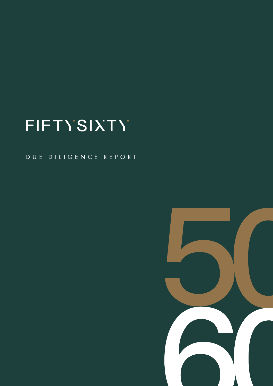# FIFTYSIXTY

### DUE DILIGENCE REPORT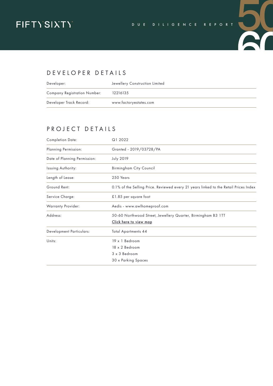



#### DEVELOPER DETAILS

| Developer:                   | Jewellery Construction Limited |
|------------------------------|--------------------------------|
| Company Registration Number: | 12216135                       |
| Developer Track Record:      | www.factoryestates.com         |

#### PROJECT DETAILS

| <b>Completion Date:</b>      | Q1 2022                                                                              |
|------------------------------|--------------------------------------------------------------------------------------|
| Planning Permission:         | Granted - 2019/03728/PA                                                              |
| Date of Planning Permission: | <b>July 2019</b>                                                                     |
| Issuing Authority:           | Birmingham City Council                                                              |
| Length of Lease:             | 250 Years                                                                            |
| Ground Rent:                 | 0.1% of the Selling Price. Reviewed every 21 years linked to the Retail Prices Index |
| Service Charge:              | £1.85 per square foot                                                                |
| <b>Warranty Provider:</b>    | Aedis - www.awlhomeproof.com                                                         |
| Address:                     | 50-60 Northwood Street, Jewellery Quarter, Birmingham B3 1TT                         |
|                              | Click here to view map                                                               |
| Development Particulars:     | <b>Total Apartments 44</b>                                                           |
| Units:                       | 19 x 1 Bedroom                                                                       |
|                              | 18 x 2 Bedroom                                                                       |
|                              | 3 x 3 Bedroom                                                                        |
|                              | 30 x Parking Spaces                                                                  |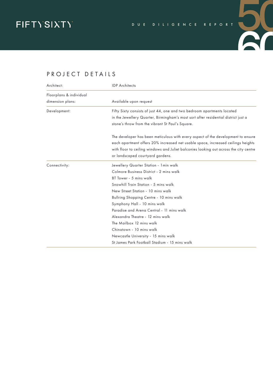## **FIFTYSIXTY**



#### PROJECT DETAILS

| Architect:              | <b>IDP</b> Architects                                                                                                                                                |
|-------------------------|----------------------------------------------------------------------------------------------------------------------------------------------------------------------|
| Floorplans & individual |                                                                                                                                                                      |
| dimension plans:        | Available upon request                                                                                                                                               |
| Development:            | Fifty Sixty consists of just 44, one and two bedroom apartments located                                                                                              |
|                         | in the Jewellery Quarter, Birmingham's most sort after residential district just a                                                                                   |
|                         | stone's throw from the vibrant St Paul's Square.                                                                                                                     |
|                         | The developer has been meticulous with every aspect of the development to ensure<br>each apartment offers 20% increased net usable space, increased ceilings heights |
|                         | with floor to ceiling windows and Juliet balconies looking out across the city centre                                                                                |
|                         | or landscaped courtyard gardens.                                                                                                                                     |
| Connectivity:           | Jewellery Quarter Station - 1 min walk                                                                                                                               |
|                         | Colmore Business District - 2 mins walk                                                                                                                              |
|                         | BT Tower - 5 mins walk                                                                                                                                               |
|                         | Snowhill Train Station - 5 mins walk                                                                                                                                 |
|                         | New Street Station - 10 mins walk                                                                                                                                    |
|                         | Bullring Shopping Centre - 10 mins walk                                                                                                                              |
|                         | Symphony Hall - 10 mins walk                                                                                                                                         |
|                         | Paradise and Arena Central - 11 mins walk                                                                                                                            |
|                         | Alexandra Theatre - 12 mins walk                                                                                                                                     |
|                         | The Mailbox 12 mins walk                                                                                                                                             |
|                         | Chinatown - 10 mins walk                                                                                                                                             |
|                         | Newcastle University - 15 mins walk                                                                                                                                  |
|                         | St James Park Football Stadium - 15 mins walk                                                                                                                        |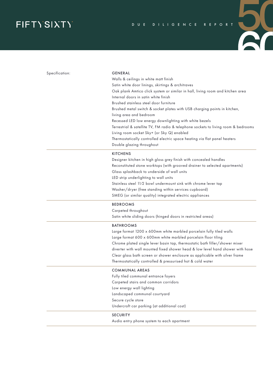

| Specification: | <b>GENERAL</b><br>Walls & ceilings in white matt finish<br>Satin white door linings, skirtings & architraves<br>Oak plank Amtico click system or similar in hall, living room and kitchen area<br>Internal doors in satin white finish<br>Brushed stainless steel door furniture<br>Brushed metal switch & socket plates with USB charging points in kitchen,<br>living area and bedroom<br>Recessed LED low energy downlighting with white bezels<br>Terrestrial & satellite TV, FM radio & telephone sockets to living room & bedrooms<br>Living room socket Sky+ (or Sky Q) enabled<br>Thermostatically controlled electric space heating via flat panel heaters<br>Double glazing throughout |
|----------------|--------------------------------------------------------------------------------------------------------------------------------------------------------------------------------------------------------------------------------------------------------------------------------------------------------------------------------------------------------------------------------------------------------------------------------------------------------------------------------------------------------------------------------------------------------------------------------------------------------------------------------------------------------------------------------------------------|
|                | <b>KITCHENS</b><br>Designer kitchen in high gloss grey finish with concealed handles<br>Reconstituted stone worktops (with grooved drainer to selected apartments)<br>Glass splashback to underside of wall units<br>LED strip underlighting to wall units<br>Stainless steel 11/2 bowl undermount sink with chrome lever tap<br>Washer/dryer (free standing within services cupboard)<br>SMEG (or similar quality) integrated electric appliances                                                                                                                                                                                                                                               |
|                | <b>BEDROOMS</b><br>Carpeted throughout<br>Satin white sliding doors (hinged doors in restricted areas)                                                                                                                                                                                                                                                                                                                                                                                                                                                                                                                                                                                           |
|                | <b>BATHROOMS</b><br>Large format 1200 x 600mm white marbled porcelain fully tiled walls<br>Large format 600 x 600mm white marbled porcelain floor tiling<br>Chrome plated single lever basin tap, thermostatic bath filler/shower mixer<br>diverter with wall mounted fixed shower head & low level hand shower with hose<br>Clear glass bath screen or shower enclosure as applicable with silver frame<br>Thermostatically controlled & pressurised hot & cold water                                                                                                                                                                                                                           |
|                | <b>COMMUNAL AREAS</b><br>Fully tiled communal entrance foyers<br>Carpeted stairs and common corridors<br>Low energy wall lighting<br>Landscaped communal courtyard<br>Secure cycle store<br>Undercroft car parking (at additional cost)                                                                                                                                                                                                                                                                                                                                                                                                                                                          |
|                | <b>SECURITY</b><br>Audio entry phone system to each apartment                                                                                                                                                                                                                                                                                                                                                                                                                                                                                                                                                                                                                                    |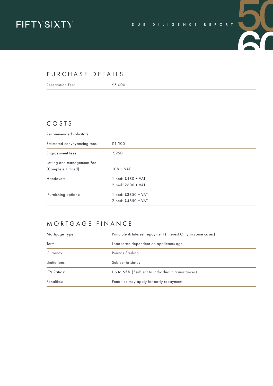

2

#### PURCHASE DETAILS

Reservation Fee:  $£5,000$ 

#### COSTS

| Recommended solicitors:      |                      |  |
|------------------------------|----------------------|--|
| Estimated conveyancing fees: | £1,500               |  |
| Engrossment fees:            | £250                 |  |
| Letting and management Fee   |                      |  |
| (Complete Limited):          | $10\% + VAT$         |  |
| Handover:                    | $1$ bed: £480 + VAT  |  |
|                              | 2 bed: £600 + VAT    |  |
| Furnishing options:          | $1$ bed: £3850 + VAT |  |
|                              | 2 bed: £4850 + VAT   |  |

#### MORTGAGE FINANCE

| Mortgage Type: | Principle & Interest repayment (Interest Only in some cases) |
|----------------|--------------------------------------------------------------|
| Term:          | Loan terms dependent on applicants age                       |
| Currency:      | Pounds Sterling                                              |
| Limitations:   | Subject to status                                            |
| LTV Ratios:    | Up to 65% (*subject to individual circumstances)             |
| Penalties:     | Penalties may apply for early repayment                      |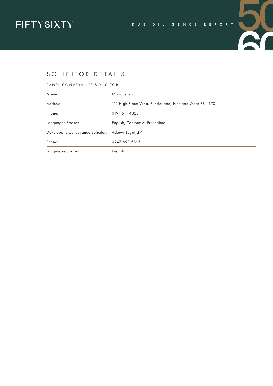



#### SOLICITOR DETAILS

#### PANEL CONVEYANCE SOLICITOR

| Name:                                              | Mortons Law                                             |
|----------------------------------------------------|---------------------------------------------------------|
| Address:                                           | 112 High Street West, Sunderland, Tyne and Wear SR1 1TX |
| Phone:                                             | 0191 514 4323                                           |
| Languages Spoken:                                  | English, Cantonese, Putonghua                           |
| Developer's Conveyance Solicitor: Askews Legal LLP |                                                         |
| Phone:                                             | 0247 693 5895                                           |
| Languages Spoken:                                  | English                                                 |